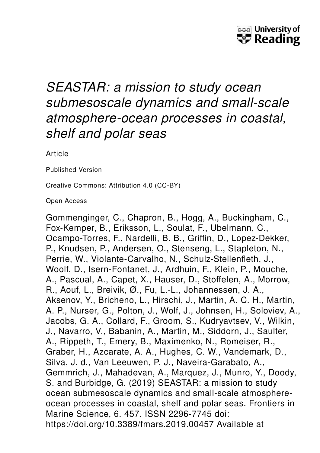

# *SEASTAR: a mission to study ocean submesoscale dynamics and small-scale atmosphere-ocean processes in coastal, shelf and polar seas*

**Article** 

Published Version

Creative Commons: Attribution 4.0 (CC-BY)

Open Access

Gommenginger, C., Chapron, B., Hogg, A., Buckingham, C., Fox-Kemper, B., Eriksson, L., Soulat, F., Ubelmann, C., Ocampo-Torres, F., Nardelli, B. B., Griffin, D., Lopez-Dekker, P., Knudsen, P., Andersen, O., Stenseng, L., Stapleton, N., Perrie, W., Violante-Carvalho, N., Schulz-Stellenfleth, J., Woolf, D., Isern-Fontanet, J., Ardhuin, F., Klein, P., Mouche, A., Pascual, A., Capet, X., Hauser, D., Stoffelen, A., Morrow, R., Aouf, L., Breivik, Ø., Fu, L.-L., Johannessen, J. A., Aksenov, Y., Bricheno, L., Hirschi, J., Martin, A. C. H., Martin, A. P., Nurser, G., Polton, J., Wolf, J., Johnsen, H., Soloviev, A., Jacobs, G. A., Collard, F., Groom, S., Kudryavtsev, V., Wilkin, J., Navarro, V., Babanin, A., Martin, M., Siddorn, J., Saulter, A., Rippeth, T., Emery, B., Maximenko, N., Romeiser, R., Graber, H., Azcarate, A. A., Hughes, C. W., Vandemark, D., Silva, J. d., Van Leeuwen, P. J., Naveira-Garabato, A., Gemmrich, J., Mahadevan, A., Marquez, J., Munro, Y., Doody, S. and Burbidge, G. (2019) SEASTAR: a mission to study ocean submesoscale dynamics and small-scale atmosphereocean processes in coastal, shelf and polar seas. Frontiers in Marine Science, 6. 457. ISSN 2296-7745 doi: https://doi.org/10.3389/fmars.2019.00457 Available at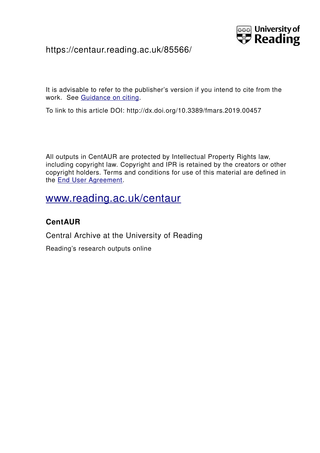

## https://centaur.reading.ac.uk/85566/

It is advisable to refer to the publisher's version if you intend to cite from the work. See [Guidance on citing.](http://centaur.reading.ac.uk/71187/10/CentAUR%20citing%20guide.pdf)

To link to this article DOI: http://dx.doi.org/10.3389/fmars.2019.00457

All outputs in CentAUR are protected by Intellectual Property Rights law, including copyright law. Copyright and IPR is retained by the creators or other copyright holders. Terms and conditions for use of this material are defined in the [End User Agreement.](http://centaur.reading.ac.uk/licence)

## [www.reading.ac.uk/centaur](http://www.reading.ac.uk/centaur)

## **CentAUR**

Central Archive at the University of Reading

Reading's research outputs online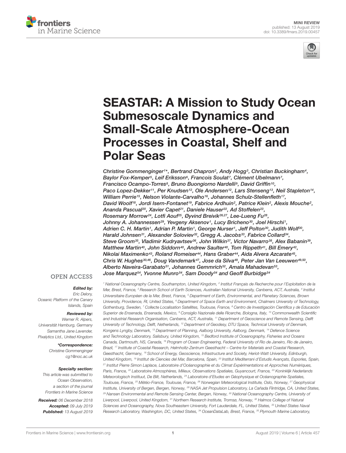



# [SEASTAR: A Mission to Study Ocean](https://www.frontiersin.org/articles/10.3389/fmars.2019.00457/full) Submesoscale Dynamics and Small-Scale Atmosphere-Ocean Processes in Coastal, Shelf and Polar Seas

[Christine Gommenginger](http://loop.frontiersin.org/people/644007/overview)1\*, [Bertrand Chapron](http://loop.frontiersin.org/people/654875/overview)<sup>2</sup>, Andy Hogg<sup>3</sup>, [Christian Buckingham](http://loop.frontiersin.org/people/769443/overview)<sup>4</sup>, [Baylor Fox-Kemper](http://loop.frontiersin.org/people/594815/overview)5, [Leif Eriksson](http://loop.frontiersin.org/people/780247/overview)6, Francois Soulat7, Clément Ubelmann7, [Francisco Ocampo-Torres](http://loop.frontiersin.org/people/769668/overview)<sup>8</sup>, [Bruno Buongiorno Nardelli](http://loop.frontiersin.org/people/233005/overview)<sup>9</sup>, David Griffin<sup>10</sup>, [Paco Lopez-Dekker](http://loop.frontiersin.org/people/715289/overview)11, [Per Knudsen](http://loop.frontiersin.org/people/242970/overview)12, [Ole Andersen](http://loop.frontiersin.org/people/297877/overview)12, [Lars Stenseng](http://loop.frontiersin.org/people/781440/overview)13, Neil Stapleton14, [William Perrie](http://loop.frontiersin.org/people/312323/overview)<sup>15</sup>, [Nelson Violante-Carvalho](http://loop.frontiersin.org/people/743322/overview)<sup>16</sup>, [Johannes Schulz-Stellenfleth](http://loop.frontiersin.org/people/405596/overview)<sup>17</sup>, David Woolf18, Jordi Isern-Fontanet19, [Fabrice Ardhuin](http://loop.frontiersin.org/people/561456/overview)<sup>2</sup>, [Patrice Klein](http://loop.frontiersin.org/people/653378/overview)<sup>2</sup>, Alexis Mouche<sup>2</sup>, [Ananda Pascual](http://loop.frontiersin.org/people/140309/overview)<sup>20</sup>, Xavier Capet<sup>21</sup>, [Daniele Hauser](http://loop.frontiersin.org/people/769317/overview)<sup>22</sup>, [Ad Stoffelen](http://loop.frontiersin.org/people/643951/overview)<sup>23</sup>, [Rosemary Morrow](http://loop.frontiersin.org/people/635455/overview)<sup>24</sup>, [Lotfi Aouf](http://loop.frontiersin.org/people/643924/overview)<sup>25</sup>, Øyvind Breivik<sup>26,27</sup>, [Lee-Lueng Fu](http://loop.frontiersin.org/people/288494/overview)<sup>28</sup>, [Johnny A. Johannessen](http://loop.frontiersin.org/people/655371/overview)<sup>29</sup>, [Yevgeny Aksenov](http://loop.frontiersin.org/people/770100/overview)<sup>1</sup>, Lucy Bricheno<sup>30</sup>, [Joel Hirschi](http://loop.frontiersin.org/people/768975/overview)<sup>1</sup>, [Adrien C. H. Martin](http://loop.frontiersin.org/people/709773/overview)1, [Adrian P. Martin](http://loop.frontiersin.org/people/130381/overview)1, George Nurser1, [Jeff Polton](http://loop.frontiersin.org/people/648747/overview)30, [Judith Wolf](http://loop.frontiersin.org/people/779576/overview)30, [Harald Johnsen](http://loop.frontiersin.org/people/709630/overview)<sup>31</sup>, Alexander Soloviev<sup>32</sup>, Gregg A. Jacobs<sup>33</sup>, Fabrice Collard<sup>34</sup>, [Steve Groom](http://loop.frontiersin.org/people/652534/overview)<sup>35</sup>, Vladimir Kudryavtsev<sup>36</sup>, [John Wilkin](http://loop.frontiersin.org/people/617479/overview)<sup>37</sup>, Victor Navarro<sup>38</sup>, [Alex Babanin](http://loop.frontiersin.org/people/641399/overview)<sup>39</sup>, [Matthew Martin](http://loop.frontiersin.org/people/606679/overview)<sup>40</sup>, [John Siddorn](http://loop.frontiersin.org/people/623591/overview)<sup>40</sup>, [Andrew Saulter](http://loop.frontiersin.org/people/644120/overview)<sup>40</sup>, Tom Rippeth<sup>41</sup>, Bill Emery<sup>42</sup>, [Nikolai Maximenko](http://loop.frontiersin.org/people/414403/overview)<sup>43</sup>, Roland Romeiser<sup>44</sup>, Hans Graber<sup>44</sup>, [Aida Alvera Azcarate](http://loop.frontiersin.org/people/634408/overview)<sup>45</sup>, [Chris W. Hughes](http://loop.frontiersin.org/people/773068/overview) $^{30,46}$ , [Doug Vandemark](http://loop.frontiersin.org/people/630639/overview) $^{47}$ , [Jose da Silva](http://loop.frontiersin.org/people/779530/overview) $^{48}$ , [Peter Jan Van Leeuwen](http://loop.frontiersin.org/people/589138/overview) $^{49,50}$ , Alberto Naveira-Garabato<sup>51</sup>, Johannes Gemmrich<sup>52</sup>, [Amala Mahadevan](http://loop.frontiersin.org/people/414076/overview)<sup>53</sup>, Jose Marquez54, [Yvonne Munro](http://loop.frontiersin.org/people/779754/overview)54, Sam Doody54 and [Geoff Burbidge](http://loop.frontiersin.org/people/781544/overview)54

#### **OPEN ACCESS**

#### Edited by:

Eric Delory, Oceanic Platform of the Canary Islands, Spain

#### Reviewed by:

Werner R. Alpers, Universität Hamburg, Germany Samantha Jane Lavender, Pixalytics Ltd., United Kingdom

> \*Correspondence: Christine Gommenginger cg1@noc.ac.uk

#### Specialty section:

This article was submitted to Ocean Observation, a section of the journal Frontiers in Marine Science

Received: 06 December 2018 Accepted: 09 July 2019 Published: 13 August 2019

<sup>1</sup> National Oceanography Centre, Southampton, United Kingdom, <sup>2</sup> Institut Français de Recherche pour l'Exploitation de la Mer, Brest, France, <sup>3</sup> Research School of Earth Sciences, Australian National University, Canberra, ACT, Australia, <sup>4</sup> Institut Universitaire Européen de la Mer, Brest, France, <sup>5</sup> Department of Earth, Environmental, and Planetary Sciences, Brown University, Providence, RI, United States, <sup>6</sup> Department of Space Earth and Environment, Chalmers University of Technology, Gothenburg, Sweden, <sup>7</sup> Collecte Localisation Satellites, Toulouse, France, <sup>8</sup> Centro de Investigación Científica y de Educación Superior de Ensenada, Ensenada, Mexico, <sup>9</sup> Consiglio Nazionale delle Ricerche, Bologna, Italy, <sup>10</sup> Commonwealth Scientific and Industrial Research Organisation, Canberra, ACT, Australia, <sup>11</sup> Department of Geoscience and Remote Sensing, Delft University of Technology, Delft, Netherlands, <sup>12</sup> Department of Geodesy, DTU Space, Technical University of Denmark, Kongens Lyngby, Denmark, <sup>13</sup> Department of Planning, Aalborg University, Aalborg, Denmark, <sup>14</sup> Defence Science and Technology Laboratory, Salisbury, United Kingdom, <sup>15</sup> Bedford Institute of Oceanography, Fisheries and Oceans Canada, Dartmouth, NS, Canada, <sup>16</sup> Program of Ocean Engineering, Federal University of Rio de Janeiro, Rio de Janeiro, Brazil, <sup>17</sup> Institute of Coastal Research, Helmholtz-Zentrum Geesthacht – Centre for Materials and Coastal Research, Geesthacht, Germany, <sup>18</sup> School of Energy, Geoscience, Infrastructure and Society, Heriot-Watt University, Edinburgh, United Kingdom, <sup>19</sup> Institut de Ciencies del Mar, Barcelona, Spain, <sup>20</sup> Institut Mediterrani d'Estudis Avançats, Esporles, Spain, <sup>21</sup> Institut Pierre Simon Laplace, Laboratoire d'Océanographie et du Climat Expérimentations et Approches Numériques, Paris, France, <sup>22</sup> Laboratoire Atmosphères, Milieux, Observations Spatiales, Guyancourt, France, <sup>23</sup> Koninklijk Nederlands Meteorologisch Instituut, De Bilt, Netherlands, <sup>24</sup> Laboratoire d'Etudes en Géophysique et Océanographie Spatiales, Toulouse, France, <sup>25</sup> Météo-France, Toulouse, France, <sup>26</sup> Norwegian Meteorological Institute, Oslo, Norway, <sup>27</sup> Geophysical Institute, University of Bergen, Bergen, Norway, <sup>28</sup> NASA Jet Propulsion Laboratory, La Cañada Flintridge, CA, United States, <sup>29</sup> Nansen Environmental and Remote Sensing Center, Bergen, Norway, <sup>30</sup> National Oceanography Centre, University of Liverpool, Liverpool, United Kingdom, <sup>31</sup> Northern Research Institute, Tromsø, Norway, <sup>32</sup> Halmos College of Natural Sciences and Oceanography, Nova Southeastern University, Fort Lauderdale, FL, United States, <sup>33</sup> United States Naval Research Laboratory, Washington, DC, United States, <sup>34</sup> OceanDataLab, Brest, France, <sup>35</sup> Plymouth Marine Laboratory,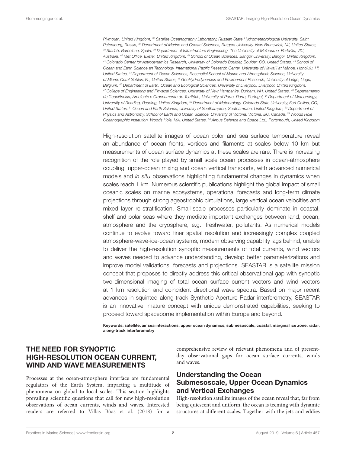Plymouth, United Kingdom, <sup>36</sup> Satellite Oceanography Laboratory, Russian State Hydrometeorological University, Saint Petersburg, Russia, <sup>37</sup> Department of Marine and Coastal Sciences, Rutgers University, New Brunswick, NJ, United States, <sup>38</sup> Starlab, Barcelona, Spain, <sup>39</sup> Department of Infrastructure Engineering, The University of Melbourne, Parkville, VIC, Australia, <sup>40</sup> Met Office, Exeter, United Kingdom, <sup>41</sup> School of Ocean Sciences, Bangor University, Bangor, United Kingdom, 42 Colorado Center for Astrodynamics Research, University of Colorado Boulder, Boulder, CO, United States, <sup>43</sup> School of Ocean and Earth Science an Technology, International Pacific Research Center, University of Hawai'i at Mānoa, Honolulu, HI, United States, <sup>44</sup> Department of Ocean Sciences, Rosenstiel School of Marine and Atmospheric Science, University of Miami, Coral Gables, FL, United States, <sup>45</sup> GeoHydrodynamics and Environment Research, University of Liège, Liège, Belgium, <sup>46</sup> Department of Earth, Ocean and Ecological Sciences, University of Liverpool, Liverpool, United Kingdom, <sup>47</sup> College of Engineering and Physical Sciences, University of New Hampshire, Durham, NH, United States, <sup>48</sup> Departamento de Geociências, Ambiente e Ordenamento do Território, University of Porto, Porto, Portugal, <sup>49</sup> Department of Meteorology, University of Reading, Reading, United Kingdom, <sup>50</sup> Department of Meteorology, Colorado State University, Fort Collins, CO, United States, <sup>51</sup> Ocean and Earth Science, University of Southampton, Southampton, United Kingdom, <sup>52</sup> Department of Physics and Astronomy, School of Earth and Ocean Science, University of Victoria, Victoria, BC, Canada, <sup>53</sup> Woods Hole Oceanographic Institution, Woods Hole, MA, United States, <sup>54</sup> Airbus Defence and Space Ltd., Portsmouth, United Kingdom

High-resolution satellite images of ocean color and sea surface temperature reveal an abundance of ocean fronts, vortices and filaments at scales below 10 km but measurements of ocean surface dynamics at these scales are rare. There is increasing recognition of the role played by small scale ocean processes in ocean-atmosphere coupling, upper-ocean mixing and ocean vertical transports, with advanced numerical models and in situ observations highlighting fundamental changes in dynamics when scales reach 1 km. Numerous scientific publications highlight the global impact of small oceanic scales on marine ecosystems, operational forecasts and long-term climate projections through strong ageostrophic circulations, large vertical ocean velocities and mixed layer re-stratification. Small-scale processes particularly dominate in coastal, shelf and polar seas where they mediate important exchanges between land, ocean, atmosphere and the cryosphere, e.g., freshwater, pollutants. As numerical models continue to evolve toward finer spatial resolution and increasingly complex coupled atmosphere-wave-ice-ocean systems, modern observing capability lags behind, unable to deliver the high-resolution synoptic measurements of total currents, wind vectors and waves needed to advance understanding, develop better parameterizations and improve model validations, forecasts and projections. SEASTAR is a satellite mission concept that proposes to directly address this critical observational gap with synoptic two-dimensional imaging of total ocean surface current vectors and wind vectors at 1 km resolution and coincident directional wave spectra. Based on major recent advances in squinted along-track Synthetic Aperture Radar interferometry, SEASTAR is an innovative, mature concept with unique demonstrated capabilities, seeking to proceed toward spaceborne implementation within Europe and beyond.

Keywords: satellite, air sea interactions, upper ocean dynamics, submesoscale, coastal, marginal ice zone, radar, along-track interferometry

#### THE NEED FOR SYNOPTIC HIGH-RESOLUTION OCEAN CURRENT, WIND AND WAVE MEASUREMENTS

Processes at the ocean-atmosphere interface are fundamental regulators of the Earth System, impacting a multitude of phenomena on global to local scales. This section highlights prevailing scientific questions that call for new high-resolution observations of ocean currents, winds and waves. Interested readers are referred to [Villas Bôas et al.](#page-8-0) [\(2018\)](#page-8-0) for a

comprehensive review of relevant phenomena and of presentday observational gaps for ocean surface currents, winds and waves.

#### Understanding the Ocean Submesoscale, Upper Ocean Dynamics and Vertical Exchanges

High-resolution satellite images of the ocean reveal that, far from being quiescent and uniform, the ocean is teeming with dynamic structures at different scales. Together with the jets and eddies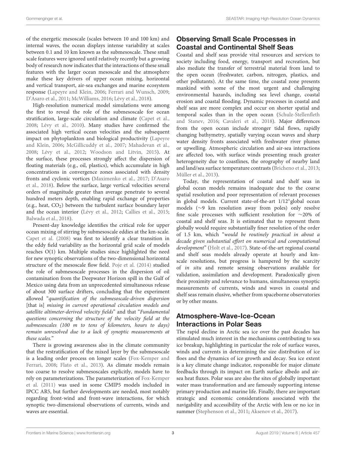of the energetic mesoscale (scales between 10 and 100 km) and internal waves, the ocean displays intense variability at scales between 0.1 and 10 km known as the submesoscale. These small scale features were ignored until relatively recently but a growing body of research now indicates that the interactions of these small features with the larger ocean mesoscale and the atmosphere make these key drivers of upper ocean mixing, horizontal and vertical transport, air-sea exchanges and marine ecosystem response [\(Lapeyre and Klein,](#page-8-1) [2006;](#page-8-1) [Ferrari and Wunsch,](#page-7-0) [2009;](#page-7-0) [D'Asaro et al.,](#page-7-1) [2011;](#page-7-1) [McWilliams,](#page-8-2) [2016;](#page-8-2) [Lévy et al.,](#page-8-3) [2018\)](#page-8-3).

High-resolution numerical model simulations were among the first to reveal the role of the submesoscale for ocean stratification, large-scale circulation and climate [\(Capet et al.,](#page-7-2) [2008;](#page-7-2) [Lévy et al.,](#page-8-4) [2010\)](#page-8-4). Many studies have confirmed the associated high vertical ocean velocities and the subsequent impact on phytoplankton and biological productivity [\(Lapeyre](#page-8-1) [and Klein,](#page-8-1) [2006;](#page-8-1) [McGillicuddy et al.,](#page-8-5) [2007;](#page-8-5) [Mahadevan et al.,](#page-8-6) [2008;](#page-8-6) [Lévy et al.,](#page-8-7) [2012;](#page-8-7) [Woodson and Litvin,](#page-8-8) [2015\)](#page-8-8). At the surface, these processes strongly affect the dispersion of floating materials (e.g., oil, plastics), which accumulate in high concentrations in convergence zones associated with density fronts and cyclonic vortices [\(Maximenko et al.,](#page-8-9) [2017;](#page-8-9) [D'Asaro](#page-7-3) [et al.,](#page-7-3) [2018\)](#page-7-3). Below the surface, large vertical velocities several orders of magnitude greater than average penetrate to several hundred meters depth, enabling rapid exchange of properties (e.g., heat,  $CO<sub>2</sub>$ ) between the turbulent surface boundary layer and the ocean interior [\(Lévy et al.,](#page-8-7) [2012;](#page-8-7) [Callies et al.,](#page-7-4) [2015;](#page-7-4) [Balwada et al.,](#page-7-5) [2018\)](#page-7-5).

Present-day knowledge identifies the critical role for upper ocean mixing of stirring by submesoscale eddies at the km-scale. [Capet et al.](#page-7-2) [\(2008\)](#page-7-2) was first to identify a clear transition in the eddy field variability as the horizontal grid scale of models reaches O(1) km. Multiple studies since highlighted the need for new synoptic observations of the two-dimensional horizontal structure of the mesoscale flow field. [Poje et al.](#page-8-10) [\(2014\)](#page-8-10) studied the role of submesoscale processes in the dispersion of oil contamination from the Deepwater Horizon spill in the Gulf of Mexico using data from an unprecedented simultaneous release of about 300 surface drifters, concluding that the experiment allowed "quantification of the submesoscale-driven dispersion [that is] missing in current operational circulation models and satellite altimeter-derived velocity fields" and that "Fundamental questions concerning the structure of the velocity field at the submesoscales (100 m to tens of kilometers, hours to days) remain unresolved due to a lack of synoptic measurements at these scales."

There is growing awareness also in the climate community that the restratification of the mixed layer by the submesoscale is a leading order process on longer scales [\(Fox-Kemper and](#page-7-6) [Ferrari,](#page-7-6) [2008;](#page-7-6) [Flato et al.,](#page-7-7) [2013\)](#page-7-7). As climate models remain too coarse to resolve submesoscales explicitly, models have to rely on parameterizations. The parameterization of [Fox-Kemper](#page-7-8) [et al.](#page-7-8) [\(2011\)](#page-7-8) was used in some CMIP5 models included in IPCC AR5, but further developments are needed, most notably regarding front-wind and front-wave interactions, for which synoptic two-dimensional observations of currents, winds and waves are essential.

## Observing Small Scale Processes in Coastal and Continental Shelf Seas

Coastal and shelf seas provide vital resources and services to society including food, energy, transport and recreation, but also mediate the transfer of terrestrial material from land to the open ocean (freshwater, carbon, nitrogen, plastics, and other pollutants). At the same time, the coastal zone presents mankind with some of the most urgent and challenging environmental hazards, including sea level change, coastal erosion and coastal flooding. Dynamic processes in coastal and shelf seas are more complex and occur on shorter spatial and temporal scales than in the open ocean [\(Schulz-Stellenfleth](#page-8-11) [and Stanev,](#page-8-11) [2016;](#page-8-11) [Cavaleri et al.,](#page-7-9) [2018\)](#page-7-9). Major differences from the open ocean include stronger tidal flows, rapidly changing bathymetry, spatially varying ocean waves and sharp water density fronts associated with freshwater river plumes or upwelling. Atmospheric circulation and air-sea interactions are affected too, with surface winds presenting much greater heterogeneity due to coastlines, the orography of nearby land and land/sea surface temperature contrasts [\(Bricheno et al.,](#page-7-10) [2013;](#page-7-10) [Müller et al.,](#page-8-12) [2013\)](#page-8-12).

Today, the representation of coastal and shelf seas in global ocean models remains inadequate due to the coarse spatial resolution and poor representation of relevant processes in global models. Current state-of-the-art 1/12° global ocean models (∼9 km resolution away from poles) only resolve fine scale processes with sufficient resolution for ∼20% of coastal and shelf seas. It is estimated that to represent them globally would require substantially finer resolution of the order of 1.5 km, which "would be routinely practical in about a decade given substantial effort on numerical and computational development" [\(Holt et al.,](#page-8-13) [2017\)](#page-8-13). State-of-the-art regional coastal and shelf seas models already operate at hourly and kmscale resolutions, but progress is hampered by the scarcity of in situ and remote sensing observations available for validation, assimilation and development. Paradoxically given their proximity and relevance to humans, simultaneous synoptic measurements of currents, winds and waves in coastal and shelf seas remain elusive, whether from spaceborne observatories or by other means.

### Atmosphere-Wave-Ice-Ocean Interactions in Polar Seas

The rapid decline in Arctic sea ice over the past decades has stimulated much interest in the mechanisms contributing to sea ice breakup, highlighting in particular the role of surface waves, winds and currents in determining the size distribution of ice floes and the dynamics of ice growth and decay. Sea ice extent is a key climate change indicator, responsible for major climate feedbacks through its impact on Earth surface albedo and airsea heat fluxes. Polar seas are also the sites of globally important water mass transformation and are famously supporting intense primary production and marine life. Finally, there are important strategic and economic considerations associated with the navigability and accessibility of the Arctic with less or no ice in summer [\(Stephenson et al.,](#page-8-14) [2011;](#page-8-14) [Aksenov et al.,](#page-7-11) [2017\)](#page-7-11).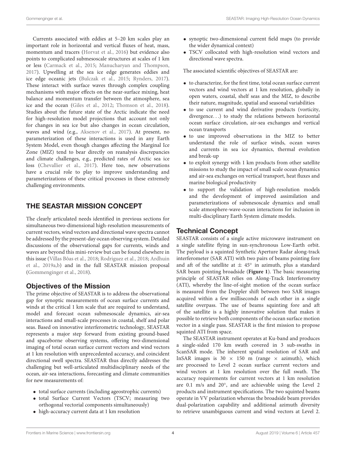Currents associated with eddies at 5–20 km scales play an important role in horizontal and vertical fluxes of heat, mass, momentum and tracers [\(Horvat et al.,](#page-8-15) [2016\)](#page-8-15) but evidence also points to complicated submesoscale structures at scales of 1 km or less [\(Carmack et al.,](#page-7-12) [2015;](#page-7-12) [Manucharyan and Thompson,](#page-8-16) [2017\)](#page-8-16). Upwelling at the sea ice edge generates eddies and ice edge oceanic jets [\(Bulczak et al.,](#page-7-13) [2015;](#page-7-13) [Rynders,](#page-8-17) [2017\)](#page-8-17). These interact with surface waves through complex coupling mechanisms with major effects on the near-surface mixing, heat balance and momentum transfer between the atmosphere, sea ice and the ocean [\(Giles et al.,](#page-7-14) [2012;](#page-7-14) [Thomson et al.,](#page-8-18) [2018\)](#page-8-18). Studies about the future state of the Arctic indicate the need for high-resolution model projections that account not only for changes in sea ice but also changes in ocean circulation, waves and wind (e.g., [Aksenov et al.,](#page-7-11) [2017\)](#page-7-11). At present, no parameterization of these interactions is used in any Earth System Model, even though changes affecting the Marginal Ice Zone (MIZ) tend to bear directly on reanalysis discrepancies and climate challenges, e.g., predicted rates of Arctic sea ice loss [\(Chevallier et al.,](#page-7-15) [2017\)](#page-7-15). Here too, new observations have a crucial role to play to improve understanding and parameterizations of these critical processes in these extremely challenging environments.

### THE SEASTAR MISSION CONCEPT

The clearly articulated needs identified in previous sections for simultaneous two-dimensional high-resolution measurements of current vectors, wind vectors and directional wave spectra cannot be addressed by the present-day ocean observing system. Detailed discussions of the observational gaps for currents, winds and waves are beyond this mini-review but can be found elsewhere in this issue [\(Villas Bôas et al.,](#page-8-0) [2018;](#page-8-0) [Rodriguez et al.,](#page-8-19) [2018;](#page-8-19) [Ardhuin](#page-7-16) [et al.,](#page-7-16) [2019a,](#page-7-16)[b\)](#page-7-17) and in the full SEASTAR mission proposal [\(Gommenginger et al.,](#page-7-18) [2018\)](#page-7-18).

#### Objectives of the Mission

The prime objective of SEASTAR is to address the observational gap for synoptic measurements of ocean surface currents and winds at the critical 1 km scale that are required to understand, model and forecast ocean submesoscale dynamics, air-sea interactions and small-scale processes in coastal, shelf and polar seas. Based on innovative interferometric technology, SEASTAR represents a major step forward from existing ground-based and spaceborne observing systems, offering two-dimensional imaging of total ocean surface current vectors and wind vectors at 1 km resolution with unprecedented accuracy, and coincident directional swell spectra. SEASTAR thus directly addresses the challenging but well-articulated multidisciplinary needs of the ocean, air-sea interactions, forecasting and climate communities for new measurements of:

- total surface currents (including ageostrophic currents)
- total Surface Current Vectors (TSCV; measuring two orthogonal vectorial components simultaneously)
- high-accuracy current data at 1 km resolution
- synoptic two-dimensional current field maps (to provide the wider dynamical context)
- TSCV collocated with high-resolution wind vectors and directional wave spectra.

The associated scientific objectives of SEASTAR are:

- to characterize, for the first time, total ocean surface current vectors and wind vectors at 1 km resolution, globally in open waters, coastal, shelf seas and the MIZ, to describe their nature, magnitude, spatial and seasonal variabilities
- to use current and wind derivative products (vorticity, divergence. . .) to study the relations between horizontal ocean surface circulation, air-sea exchanges and vertical ocean transports
- to use improved observations in the MIZ to better understand the role of surface winds, ocean waves and currents in sea ice dynamics, thermal evolution and break-up
- to exploit synergy with 1 km products from other satellite missions to study the impact of small scale ocean dynamics and air-sea exchanges on vertical transport, heat fluxes and marine biological productivity
- to support the validation of high-resolution models and the development of improved assimilation and parameterizations of submesoscale dynamics and small scale atmosphere-wave-ocean interactions for inclusion in multi-disciplinary Earth System climate models.

#### Technical Concept

SEASTAR consists of a single active microwave instrument on a single satellite flying in sun-synchronous Low-Earth orbit. The payload is a squinted Synthetic Aperture Radar along-track interferometer (SAR ATI) with two pairs of beams pointing fore and aft of the satellite at  $\pm 45^{\circ}$  in azimuth, plus a standard SAR beam pointing broadside (**[Figure 1](#page-6-0)**). The basic measuring principle of SEASTAR relies on Along-Track Interferometry (ATI), whereby the line-of-sight motion of the ocean surface is measured from the Doppler shift between two SAR images acquired within a few milliseconds of each other in a single satellite overpass. The use of beams squinting fore and aft of the satellite is a highly innovative solution that makes it possible to retrieve both components of the ocean surface motion vector in a single pass. SEASTAR is the first mission to propose squinted ATI from space.

The SEASTAR instrument operates at Ku-band and produces a single-sided 170 km swath covered in 3 sub-swaths in ScanSAR mode. The inherent spatial resolution of SAR and InSAR images is 30  $\times$  150 m (range  $\times$  azimuth), which are processed to Level 2 ocean surface current vectors and wind vectors at 1 km resolution over the full swath. The accuracy requirements for current vectors at 1 km resolution are 0.1 m/s and 20°, and are achievable using the Level 2 products and instrument specifications. The two squinted beams operate in VV polarization whereas the broadside beam provides dual-polarization capability and additional azimuth diversity to retrieve unambiguous current and wind vectors at Level 2.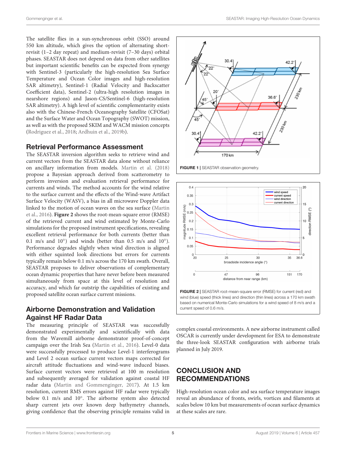The satellite flies in a sun-synchronous orbit (SSO) around 550 km altitude, which gives the option of alternating shortrevisit (1–2 day repeat) and medium-revisit (7–30 days) orbital phases. SEASTAR does not depend on data from other satellites but important scientific benefits can be expected from synergy with Sentinel-3 (particularly the high-resolution Sea Surface Temperature and Ocean Color images and high-resolution SAR altimetry), Sentinel-1 (Radial Velocity and Backscatter Coefficient data), Sentinel-2 (ultra-high resolution images in nearshore regions) and Jason-CS/Sentinel-6 (high-resolution SAR altimetry). A high level of scientific complementarity exists also with the Chinese-French Oceanography Satellite (CFOSat) and the Surface Water and Ocean Topography (SWOT) mission, as well as with the proposed SKIM and WACM mission concepts [\(Rodriguez et al.,](#page-8-19) [2018;](#page-8-19) [Ardhuin et al.,](#page-7-17) [2019b\)](#page-7-17).

#### Retrieval Performance Assessment

The SEASTAR inversion algorithm seeks to retrieve wind and current vectors from the SEASTAR data alone without reliance on ancillary information from models. [Martin et al.](#page-8-20) [\(2018\)](#page-8-20) propose a Bayesian approach derived from scatterometry to perform inversion and evaluation retrieval performance for currents and winds. The method accounts for the wind relative to the surface current and the effects of the Wind-wave Artifact Surface Velocity (WASV), a bias in all microwave Doppler data linked to the motion of ocean waves on the sea surface [\(Martin](#page-8-21) [et al.,](#page-8-21) [2016\)](#page-8-21). **[Figure 2](#page-6-1)** shows the root-mean-square error (RMSE) of the retrieved current and wind estimated by Monte-Carlo simulations for the proposed instrument specifications, revealing excellent retrieval performance for both currents (better than 0.1 m/s and  $10^{\circ}$ ) and winds (better than 0.5 m/s and  $10^{\circ}$ ). Performance degrades slightly when wind direction is aligned with either squinted look directions but errors for currents typically remain below 0.1 m/s across the 170 km swath. Overall, SEASTAR proposes to deliver observations of complementary ocean dynamic properties that have never before been measured simultaneously from space at this level of resolution and accuracy, and which far outstrip the capabilities of existing and proposed satellite ocean surface current missions.

#### Airborne Demonstration and Validation Against HF Radar Data

The measuring principle of SEASTAR was successfully demonstrated experimentally and scientifically with data from the Wavemill airborne demonstrator proof-of-concept campaign over the Irish Sea [\(Martin et al.,](#page-8-21) [2016\)](#page-8-21). Level-0 data were successfully processed to produce Level-1 interferograms and Level 2 ocean surface current vectors maps corrected for aircraft attitude fluctuations and wind-wave induced biases. Surface current vectors were retrieved at 100 m resolution and subsequently averaged for validation against coastal HF radar data [\(Martin and Gommenginger,](#page-8-22) [2017\)](#page-8-22). At 1.5 km resolution, current RMS errors against HF radar were typically below 0.1 m/s and 10°. The airborne system also detected sharp current jets over known deep bathymetry channels, giving confidence that the observing principle remains valid in



<span id="page-6-0"></span>



complex coastal environments. A new airborne instrument called OSCAR is currently under development for ESA to demonstrate the three-look SEASTAR configuration with airborne trials planned in July 2019.

### CONCLUSION AND RECOMMENDATIONS

<span id="page-6-1"></span>current speed of 0.6 m/s.

High-resolution ocean color and sea surface temperature images reveal an abundance of fronts, swirls, vortices and filaments at scales below 10 km but measurements of ocean surface dynamics at these scales are rare.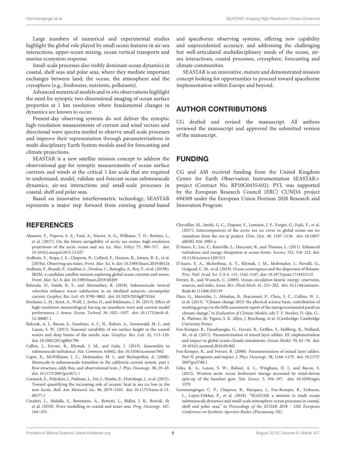Large numbers of numerical and experimental studies highlight the global role played by small ocean features in air-sea interactions, upper-ocean mixing, ocean vertical transports and marine ecosystem response.

Small-scale processes also visibly dominate ocean dynamics in coastal, shelf seas and polar seas, where they mediate important exchanges between land, the ocean, the atmosphere and the cryosphere (e.g., freshwater, nutrients, pollutants).

Advanced numerical models and in situ observations highlight the need for synoptic two-dimensional imaging of ocean surface properties at 1 km resolution where fundamental changes in dynamics are known to occur.

Present-day observing systems do not deliver the synoptic high-resolution measurements of current and wind vectors and directional wave spectra needed to observe small scale processes and improve their representation through parameterizations in multi-disciplinary Earth System models used for forecasting and climate projections.

SEASTAR is a new satellite mission concept to address the observational gap for synoptic measurements of ocean surface currents and winds at the critical 1 km scale that are required to understand, model, validate and forecast ocean submesoscale dynamics, air-sea interactions and small-scale processes in coastal, shelf and polar seas.

Based on innovative interferometric technology, SEASTAR represents a major step forward from existing ground-based

#### **REFERENCES**

- <span id="page-7-11"></span>Aksenov, Y., Popova, E. E., Yool, A., Nurser, A. G., Williams, T. D., Bertino, L., et al. (2017). On the future navigability of arctic sea routes: high-resolution projections of the arctic ocean and sea ice. Mar. Policy 75, 300–317. [doi:](https://doi.org/10.1016/j.marpol.2015.12.027) [10.1016/j.marpol.2015.12.027](https://doi.org/10.1016/j.marpol.2015.12.027)
- <span id="page-7-16"></span>Ardhuin, F., Stopa, J. E., Chapron, B., Collard, F., Husson, R., Jensen, R. E., et al. (2019a). Observing sea states. Front. Mar. Sci. 6. [doi: 10.3389/fmars.2019.00124](https://doi.org/10.3389/fmars.2019.00124)
- <span id="page-7-17"></span>Ardhuin, F., Brandt, P., Gaultier, L., Donlon, C., Battaglia, A., Boy, F., et al. (2019b). SKIM, a candidate satellite mission exploring global ocean currents and waves. Front. Mar. Sci. 6. [doi: 10.3389/fmars.2019.00209](https://doi.org/10.3389/fmars.2019.00209)
- <span id="page-7-5"></span>Balwada, D., Smith, K. S., and Abernathey, R. (2018). Submesoscale vertical velocities enhance tracer subduction in an idealized antarctic circumpolar current. Geophys. Res. Lett. 45, 9790–9802. [doi: 10.1029/2018gl079244](https://doi.org/10.1029/2018gl079244)
- <span id="page-7-10"></span>Bricheno, L. M., Soret, A., Wolf, J., Jorba, O., and Baldasano, J. M. (2013). Effect of high-resolution meteorological forcing on nearshore wave and current model performance. J. Atmos. Ocean. Technol. 30, 1021–1037. [doi: 10.1175/jtech-d-](https://doi.org/10.1175/jtech-d-12-00087.1)[12-00087.1](https://doi.org/10.1175/jtech-d-12-00087.1)
- <span id="page-7-13"></span>Bulczak, A. I., Bacon, S., Garabato, A. C. N., Ridout, A., Sonnewald, M. J., and Laxon, S. W. (2015). Seasonal variability of sea surface height in the coastal waters and deep basins of the nordic seas. Geophys. Res. Lett. 42, 113–120. [doi: 10.1002/2014gl061796](https://doi.org/10.1002/2014gl061796)
- <span id="page-7-4"></span>Callies, J., Ferrari, R., Klymak, J. M., and Gula, J. (2015). Seasonality in submesoscale turbulence. Nat. Commun. 6:6862. [doi: 10.1038/ncomms7862](https://doi.org/10.1038/ncomms7862)
- <span id="page-7-2"></span>Capet, X., McWilliams, J. C., Molemaker, M. J., and Shchepetkin, A. (2008). Mesoscale to submesoscale transition in the california current system. part i: flow structure, eddy flux, and observational tests. J. Phys. Oceanogr. 38, 29–43. [doi: 10.1175/2007jpo3671.1](https://doi.org/10.1175/2007jpo3671.1)
- <span id="page-7-12"></span>Carmack, E., Polyakov, I., Padman, L., Fer, I., Hunke, E., Hutchings, J., et al. (2015). Toward quantifying the increasing role of oceanic heat in sea ice loss in the new Arctic. Bull. Am. Meteorol. Soc. 96, 2079–2105. [doi: 10.1175/bams-d-13-](https://doi.org/10.1175/bams-d-13-00177.1) [00177.1](https://doi.org/10.1175/bams-d-13-00177.1)
- <span id="page-7-9"></span>Cavaleri, L., Abdalla, S., Benetazzo, A., Bertotti, L., Bidlot, J. R., Breivik, Ø, et al. (2018). Wave modelling in coastal and inner seas. Prog. Oceanogr. 167, 164–233.

and spaceborne observing systems, offering new capability and unprecedented accuracy, and addressing the challenging but well-articulated multidisciplinary needs of the ocean, airsea interactions, coastal processes, cryosphere, forecasting and climate communities.

SEASTAR is an innovative, mature and demonstrated mission concept looking for opportunities to proceed toward spaceborne implementation within Europe and beyond.

#### AUTHOR CONTRIBUTIONS

CG drafted and revised the manuscript. All authors reviewed the manuscript and approved the submitted version of the manuscript.

#### FUNDING

CG and AM received funding from the United Kingdom Centre for Earth Observation Instrumentation SEASTAR+ project (Contract No. RP10G0435A02). PVL was supported by the European Research Council (ERC) CUNDA project 694509 under the European Union Horizon 2020 Research and Innovation Program.

- <span id="page-7-15"></span>Chevallier, M., Smith, G. C., Dupont, F., Lemieux, J. F., Forget, G., Fujii, Y., et al. (2017). Intercomparison of the arctic sea ice cover in global ocean–sea ice reanalyses from the ora-ip project. Clim. Dyn. 49, 1107–1136. [doi: 10.1007/](https://doi.org/10.1007/s00382-016-2985-y) [s00382-016-2985-y](https://doi.org/10.1007/s00382-016-2985-y)
- <span id="page-7-1"></span>D'Asaro, E., Lee, C., Rainville, L., Harcourt, R., and Thomas, L. (2011). Enhanced turbulence and energy dissipation at ocean fronts. Science 332, 318–322. [doi:](https://doi.org/10.1126/science.1201515) [10.1126/science.1201515](https://doi.org/10.1126/science.1201515)
- <span id="page-7-3"></span>D'Asaro, E. A., Shcherbina, A. Y., Klymak, J. M., Molemaker, J., Novelli, G., Guigand, C. M., et al. (2018). Ocean convergence and the dispersion of flotsam. Proc. Natl. Acad. Sci. U.S.A. 115, 1162–1167. [doi: 10.1073/pnas.1718453115](https://doi.org/10.1073/pnas.1718453115)
- <span id="page-7-0"></span>Ferrari, R., and Wunsch, C. (2009). Ocean circulation kinetic energy: reservoirs, sources, and sinks. Annu. Rev. Fluid Mech. 41, 253–282. [doi: 10.1146/annurev.](https://doi.org/10.1146/annurev.fluid.40.111406.102139) [fluid.40.111406.102139](https://doi.org/10.1146/annurev.fluid.40.111406.102139)
- <span id="page-7-7"></span>Flato, G., Marotzke, J., Abiodun, B., Braconnot, P., Chou, S. C., Collins, W. J., et al. (2013). "Climate change 2013: the physical science basis. contribution of working group i to the fifth assessment report of the intergovernmental panel on climate change," in Evaluation of Climate Models, eds T. F. Stocker, D. Qin, G.- K. Plattner, M. Tignor, S. K. Allen, J. Boschung, et al. (Cambridge: Cambridge University Press).
- <span id="page-7-8"></span>Fox-Kemper, B., Danabasoglu, G., Ferrari, R., Griffies, S., Hallberg, R., Holland, M., et al. (2011). Parameterization of mixed layer eddies. III: implementation and impact in global ocean climate simulations. Ocean Model. 39, 61–78. [doi:](https://doi.org/10.1016/j.ocemod.2010.09.002) [10.1016/j.ocemod.2010.09.002](https://doi.org/10.1016/j.ocemod.2010.09.002)
- <span id="page-7-6"></span>Fox-Kemper, B., and Ferrari, R. (2008). Parameterization of mixed layer eddies. Part II: prognosis and impact. J. Phys. Oceanogr. 38, 1166–1179. [doi: 10.1175/](https://doi.org/10.1175/2007jpo3788.1) [2007jpo3788.1](https://doi.org/10.1175/2007jpo3788.1)
- <span id="page-7-14"></span>Giles, K. A., Laxon, S. W., Ridout, A. L., Wingham, D. J., and Bacon, S. (2012). Western arctic ocean freshwater storage increased by wind-driven spin-up of the beaufort gyre. Nat. Geosci. 5, 194–197. [doi: 10.1038/ngeo](https://doi.org/10.1038/ngeo1379) [1379](https://doi.org/10.1038/ngeo1379)
- <span id="page-7-18"></span>Gommenginger, C. P., Chapron, B., Marquez, J., Fox-Kemper, B., Eriksson, L., Lopez-Dekker, P., et al. (2018). "SEASTAR: a mission to study ocean submesoscale dynamics and small-scale atmosphere-ocean processes in coastal, shelf and polar seas," in Proceedings of the EUSAR 2018 - 12th European Conference on Synthetic Aperture Radar, (Piscataway, NJ).